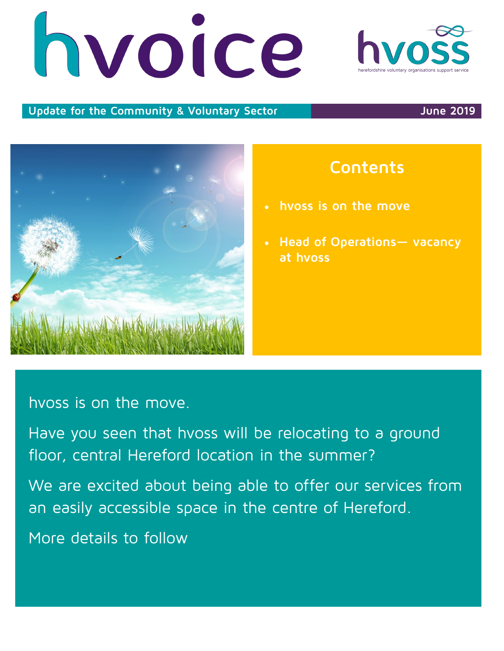# nvoice

## Update for the Community & Voluntary Sector **Community & Voluntary Sector**

# hvoss is on the move.

Have you seen that hvoss will be relocating to a ground floor, central Hereford location in the summer?

We are excited about being able to offer our services from an easily accessible space in the centre of Hereford.

More details to follow

- **hvoss is on the move**
- **Head of Operations— vacancy at hvoss**

**Contents**